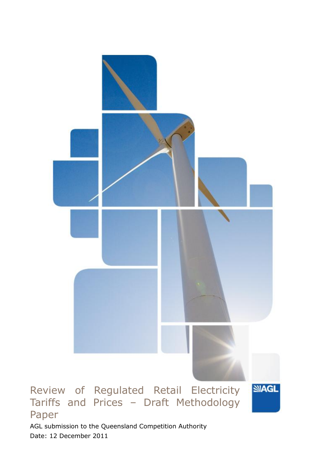

Date: 12 December 2011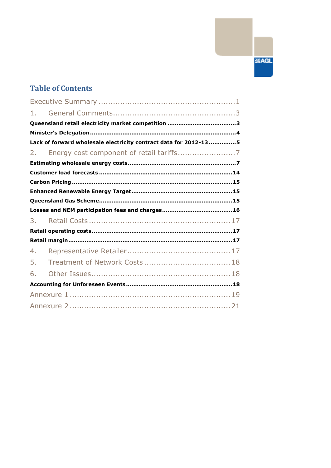# **SIAGL**

# **Table of Contents**

| 1. |                                                                   |
|----|-------------------------------------------------------------------|
|    |                                                                   |
|    |                                                                   |
|    | Lack of forward wholesale electricity contract data for 2012-13 5 |
| 2. |                                                                   |
|    |                                                                   |
|    |                                                                   |
|    |                                                                   |
|    |                                                                   |
|    |                                                                   |
|    |                                                                   |
|    |                                                                   |
| 3. |                                                                   |
|    |                                                                   |
|    |                                                                   |
| 4. |                                                                   |
| 5. |                                                                   |
| 6. |                                                                   |
|    |                                                                   |
|    |                                                                   |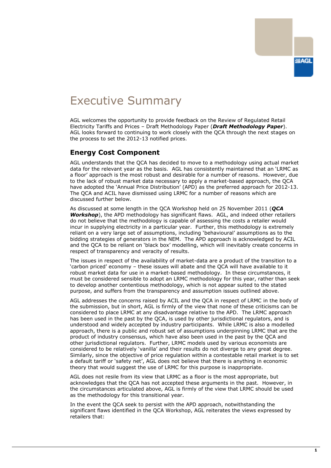# <span id="page-2-0"></span>Executive Summary

AGL welcomes the opportunity to provide feedback on the Review of Regulated Retail Electricity Tariffs and Prices – Draft Methodology Paper (*Draft Methodology Paper*). AGL looks forward to continuing to work closely with the QCA through the next stages on the process to set the 2012-13 notified prices.

# **Energy Cost Component**

AGL understands that the QCA has decided to move to a methodology using actual market data for the relevant year as the basis. AGL has consistently maintained that an 'LRMC as a floor' approach is the most robust and desirable for a number of reasons. However, due to the lack of robust market data necessary to apply a market-based approach, the QCA have adopted the 'Annual Price Distribution' (APD) as the preferred approach for 2012-13. The QCA and ACIL have dismissed using LRMC for a number of reasons which are discussed further below.

As discussed at some length in the QCA Workshop held on 25 November 2011 (*QCA Workshop*), the APD methodology has significant flaws. AGL, and indeed other retailers do not believe that the methodology is capable of assessing the costs a retailer would incur in supplying electricity in a particular year. Further, this methodology is extremely reliant on a very large set of assumptions, including 'behavioural' assumptions as to the bidding strategies of generators in the NEM. The APD approach is acknowledged by ACIL and the QCA to be reliant on 'black box' modelling, which will inevitably create concerns in respect of transparency and veracity of results.

The issues in respect of the availability of market-data are a product of the transition to a 'carbon priced' economy – these issues will abate and the QCA will have available to it robust market data for use in a market-based methodology. In these circumstances, it must be considered sensible to adopt an LRMC methodology for this year, rather than seek to develop another contentious methodology, which is not appear suited to the stated purpose, and suffers from the transparency and assumption issues outlined above.

AGL addresses the concerns raised by ACIL and the QCA in respect of LRMC in the body of the submission, but in short, AGL is firmly of the view that none of these criticisms can be considered to place LRMC at any disadvantage relative to the APD. The LRMC approach has been used in the past by the QCA, is used by other jurisdictional regulators, and is understood and widely accepted by industry participants. While LRMC is also a modelled approach, there is a public and robust set of assumptions underpinning LRMC that are the product of industry consensus, which have also been used in the past by the QCA and other jurisdictional regulators. Further, LRMC models used by various economists are considered to be relatively 'vanilla' and their results do not diverge to any great degree. Similarly, since the objective of price regulation within a contestable retail market is to set a default tariff or 'safety net', AGL does not believe that there is anything in economic theory that would suggest the use of LRMC for this purpose is inappropriate.

AGL does not resile from its view that LRMC as a floor is the most appropriate, but acknowledges that the QCA has not accepted these arguments in the past. However, in the circumstances articulated above, AGL is firmly of the view that LRMC should be used as the methodology for this transitional year.

In the event the QCA seek to persist with the APD approach, notwithstanding the significant flaws identified in the QCA Workshop, AGL reiterates the views expressed by retailers that: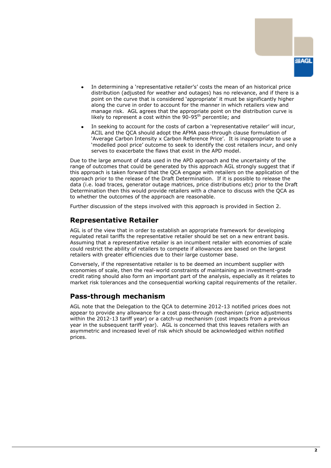

- In determining a 'representative retailer's' costs the mean of an historical price distribution (adjusted for weather and outages) has no relevance, and if there is a point on the curve that is considered 'appropriate' it must be significantly higher along the curve in order to account for the manner in which retailers view and manage risk. AGL agrees that the appropriate point on the distribution curve is likely to represent a cost within the 90-95<sup>th</sup> percentile; and
- In seeking to account for the costs of carbon a 'representative retailer' will incur, ACIL and the QCA should adopt the AFMA pass-through clause formulation of 'Average Carbon Intensity x Carbon Reference Price'. It is inappropriate to use a 'modelled pool price' outcome to seek to identify the cost retailers incur, and only serves to exacerbate the flaws that exist in the APD model.

Due to the large amount of data used in the APD approach and the uncertainty of the range of outcomes that could be generated by this approach AGL strongly suggest that if this approach is taken forward that the QCA engage with retailers on the application of the approach prior to the release of the Draft Determination. If it is possible to release the data (i.e. load traces, generator outage matrices, price distributions etc) prior to the Draft Determination then this would provide retailers with a chance to discuss with the QCA as to whether the outcomes of the approach are reasonable.

Further discussion of the steps involved with this approach is provided in Section 2.

## **Representative Retailer**

AGL is of the view that in order to establish an appropriate framework for developing regulated retail tariffs the representative retailer should be set on a new entrant basis. Assuming that a representative retailer is an incumbent retailer with economies of scale could restrict the ability of retailers to compete if allowances are based on the largest retailers with greater efficiencies due to their large customer base.

Conversely, if the representative retailer is to be deemed an incumbent supplier with economies of scale, then the real-world constraints of maintaining an investment-grade credit rating should also form an important part of the analysis, especially as it relates to market risk tolerances and the consequential working capital requirements of the retailer.

## **Pass-through mechanism**

AGL note that the Delegation to the QCA to determine 2012-13 notified prices does not appear to provide any allowance for a cost pass-through mechanism (price adjustments within the 2012-13 tariff year) or a catch-up mechanism (cost impacts from a previous year in the subsequent tariff year). AGL is concerned that this leaves retailers with an asymmetric and increased level of risk which should be acknowledged within notified prices.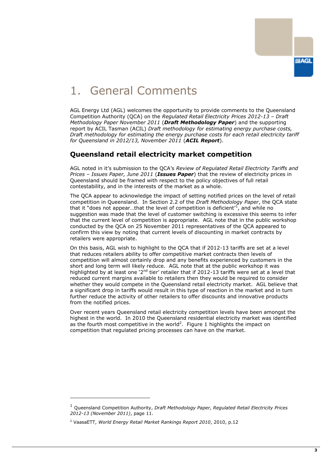

# <span id="page-4-0"></span>1. General Comments

AGL Energy Ltd (AGL) welcomes the opportunity to provide comments to the Queensland Competition Authority (QCA) on the *Regulated Retail Electricity Prices 2012-13 – Draft Methodology Paper November 2011* (*Draft Methodology Paper*) and the supporting report by ACIL Tasman (ACIL) *Draft methodology for estimating energy purchase costs, Draft methodology for estimating the energy purchase costs for each retail electricity tariff for Queensland in 2012/13, November 2011* (*ACIL Report*).

# <span id="page-4-1"></span>**Queensland retail electricity market competition**

AGL noted in it's submission to the QCA's *Review of Regulated Retail Electricity Tariffs and Prices – Issues Paper, June 2011* (*Issues Paper*) that the review of electricity prices in Queensland should be framed with respect to the policy objectives of full retail contestability, and in the interests of the market as a whole.

The QCA appear to acknowledge the impact of setting notified prices on the level of retail competition in Queensland. In Section 2.2 of the *Draft Methodology Paper*, the QCA state that it "does not appear...that the level of competition is deficient<sup> $t$ </sup>, and while no suggestion was made that the level of customer switching is excessive this seems to infer that the current level of competition is appropriate. AGL note that in the public workshop conducted by the QCA on 25 November 2011 representatives of the QCA appeared to confirm this view by noting that current levels of discounting in market contracts by retailers were appropriate.

On this basis, AGL wish to highlight to the QCA that if 2012-13 tariffs are set at a level that reduces retailers ability to offer competitive market contracts then levels of competition will almost certainly drop and any benefits experienced by customers in the short and long term will likely reduce. AGL note that at the public workshop it was highlighted by at least one '2<sup>nd</sup> tier' retailer that if 2012-13 tariffs were set at a level that reduced current margins available to retailers then they would be required to consider whether they would compete in the Queensland retail electricity market. AGL believe that a significant drop in tariffs would result in this type of reaction in the market and in turn further reduce the activity of other retailers to offer discounts and innovative products from the notified prices.

Over recent years Queensland retail electricity competition levels have been amongst the highest in the world. In 2010 the Queensland residential electricity market was identified as the fourth most competitive in the world<sup>2</sup>. Figure 1 highlights the impact on competition that regulated pricing processes can have on the market.

-

<sup>1</sup> Queensland Competition Authority, *Draft Methodology Paper, Regulated Retail Electricity Prices 2012-13 (November 2011)*, page 11.

<sup>2</sup> VaasaETT, *World Energy Retail Market Rankings Report 2010*, 2010, p.12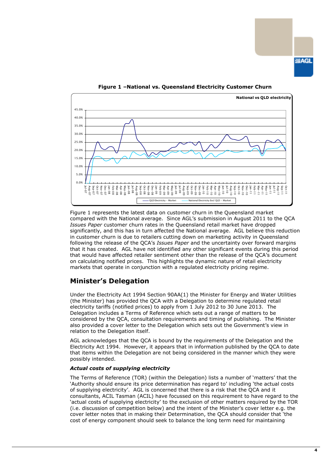

**Figure 1 –National vs. Queensland Electricity Customer Churn**

Figure 1 represents the latest data on customer churn in the Queensland market compared with the National average. Since AGL's submission in August 2011 to the QCA *Issues Paper* customer churn rates in the Queensland retail market have dropped significantly, and this has in turn affected the National average. AGL believe this reduction in customer churn is due to retailers cutting down on marketing activity in Queensland following the release of the QCA's *Issues Paper* and the uncertainty over forward margins that it has created. AGL have not identified any other significant events during this period that would have affected retailer sentiment other than the release of the QCA's document on calculating notified prices. This highlights the dynamic nature of retail electricity markets that operate in conjunction with a regulated electricity pricing regime.

## <span id="page-5-0"></span>**Minister's Delegation**

Under the Electricity Act 1994 Section 90AA(1) the Minister for Energy and Water Utilities (the Minister) has provided the QCA with a Delegation to determine regulated retail electricity tariffs (notified prices) to apply from 1 July 2012 to 30 June 2013. The Delegation includes a Terms of Reference which sets out a range of matters to be considered by the QCA, consultation requirements and timing of publishing. The Minister also provided a cover letter to the Delegation which sets out the Government's view in relation to the Delegation itself.

AGL acknowledges that the QCA is bound by the requirements of the Delegation and the Electricity Act 1994. However, it appears that in information published by the QCA to date that items within the Delegation are not being considered in the manner which they were possibly intended.

#### *Actual costs of supplying electricity*

The Terms of Reference (TOR) (within the Delegation) lists a number of 'matters' that the 'Authority should ensure its price determination has regard to' including 'the actual costs of supplying electricity'. AGL is concerned that there is a risk that the QCA and it consultants, ACIL Tasman (ACIL) have focussed on this requirement to have regard to the 'actual costs of supplying electricity' to the exclusion of other matters required by the TOR (i.e. discussion of competition below) and the intent of the Minister's cover letter e.g. the cover letter notes that in making their Determination, the QCA should consider that 'the cost of energy component should seek to balance the long term need for maintaining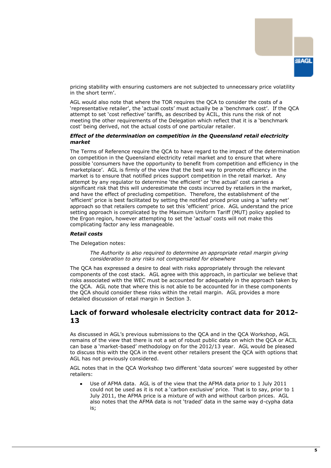

pricing stability with ensuring customers are not subjected to unnecessary price volatility in the short term'.

AGL would also note that where the TOR requires the QCA to consider the costs of a 'representative retailer', the 'actual costs' must actually be a 'benchmark cost'. If the QCA attempt to set 'cost reflective' tariffs, as described by ACIL, this runs the risk of not meeting the other requirements of the Delegation which reflect that it is a 'benchmark cost' being derived, not the actual costs of one particular retailer.

#### *Effect of the determination on competition in the Queensland retail electricity market*

The Terms of Reference require the QCA to have regard to the impact of the determination on competition in the Queensland electricity retail market and to ensure that where possible 'consumers have the opportunity to benefit from competition and efficiency in the marketplace'. AGL is firmly of the view that the best way to promote efficiency in the market is to ensure that notified prices support competition in the retail market. Any attempt by any regulator to determine 'the efficient' or 'the actual' cost carries a significant risk that this will underestimate the costs incurred by retailers in the market, and have the effect of precluding competition. Therefore, the establishment of the 'efficient' price is best facilitated by setting the notified priced price using a 'safety net' approach so that retailers compete to set this 'efficient' price. AGL understand the price setting approach is complicated by the Maximum Uniform Tariff (MUT) policy applied to the Ergon region, however attempting to set the 'actual' costs will not make this complicating factor any less manageable.

#### *Retail costs*

The Delegation notes:

*The Authority is also required to determine an appropriate retail margin giving consideration to any risks not compensated for elsewhere*

The QCA has expressed a desire to deal with risks appropriately through the relevant components of the cost stack. AGL agree with this approach, in particular we believe that risks associated with the WEC must be accounted for adequately in the approach taken by the QCA. AGL note that where this is not able to be accounted for in these components the QCA should consider these risks within the retail margin. AGL provides a more detailed discussion of retail margin in Section 3.

## <span id="page-6-0"></span>**Lack of forward wholesale electricity contract data for 2012- 13**

As discussed in AGL's previous submissions to the QCA and in the QCA Workshop, AGL remains of the view that there is not a set of robust public data on which the QCA or ACIL can base a 'market-based' methodology on for the 2012/13 year. AGL would be pleased to discuss this with the QCA in the event other retailers present the QCA with options that AGL has not previously considered.

AGL notes that in the QCA Workshop two different 'data sources' were suggested by other retailers:

Use of AFMA data. AGL is of the view that the AFMA data prior to 1 July 2011 could not be used as it is not a 'carbon exclusive' price. That is to say, prior to 1 July 2011, the AFMA price is a mixture of with and without carbon prices. AGL also notes that the AFMA data is not 'traded' data in the same way d-cypha data is;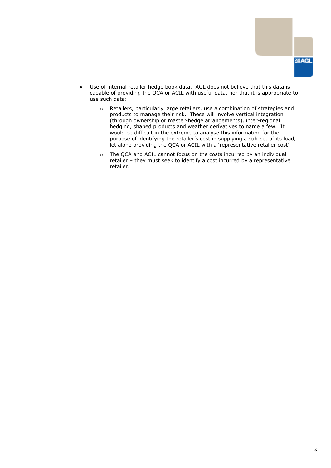

- Use of internal retailer hedge book data. AGL does not believe that this data is capable of providing the QCA or ACIL with useful data, nor that it is appropriate to use such data:
	- o Retailers, particularly large retailers, use a combination of strategies and products to manage their risk. These will involve vertical integration (through ownership or master-hedge arrangements), inter-regional hedging, shaped products and weather derivatives to name a few. It would be difficult in the extreme to analyse this information for the purpose of identifying the retailer's cost in supplying a sub-set of its load, let alone providing the QCA or ACIL with a 'representative retailer cost'
	- $\circ$  The QCA and ACIL cannot focus on the costs incurred by an individual retailer – they must seek to identify a cost incurred by a representative retailer.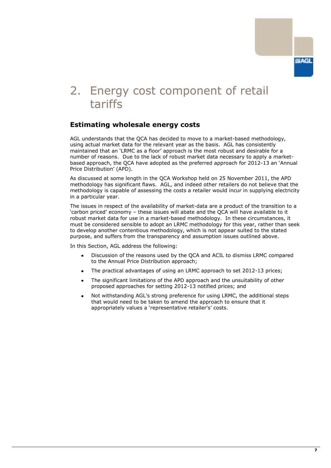# <span id="page-8-0"></span>2. Energy cost component of retail tariffs

# <span id="page-8-1"></span>**Estimating wholesale energy costs**

AGL understands that the QCA has decided to move to a market-based methodology, using actual market data for the relevant year as the basis. AGL has consistently maintained that an 'LRMC as a floor' approach is the most robust and desirable for a number of reasons. Due to the lack of robust market data necessary to apply a marketbased approach, the QCA have adopted as the preferred approach for 2012-13 an 'Annual Price Distribution' (APD).

As discussed at some length in the QCA Workshop held on 25 November 2011, the APD methodology has significant flaws. AGL, and indeed other retailers do not believe that the methodology is capable of assessing the costs a retailer would incur in supplying electricity in a particular year.

The issues in respect of the availability of market-data are a product of the transition to a 'carbon priced' economy – these issues will abate and the QCA will have available to it robust market data for use in a market-based methodology. In these circumstances, it must be considered sensible to adopt an LRMC methodology for this year, rather than seek to develop another contentious methodology, which is not appear suited to the stated purpose, and suffers from the transparency and assumption issues outlined above.

In this Section, AGL address the following:

- Discussion of the reasons used by the QCA and ACIL to dismiss LRMC compared to the Annual Price Distribution approach;
- The practical advantages of using an LRMC approach to set 2012-13 prices;
- The significant limitations of the APD approach and the unsuitability of other proposed approaches for setting 2012-13 notified prices; and
- Not withstanding AGL's strong preference for using LRMC, the additional steps that would need to be taken to amend the approach to ensure that it appropriately values a 'representative retailer's' costs.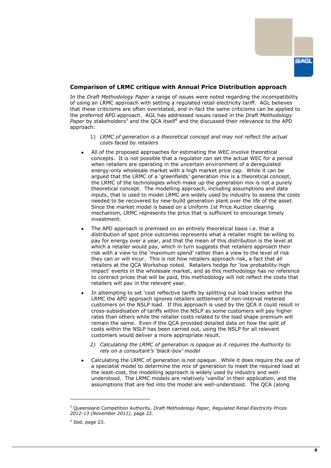

#### **Comparison of LRMC critique with Annual Price Distribution approach**

In the *Draft Methodology Paper* a range of issues were noted regarding the incompatibility of using an LRMC approach with setting a regulated retail electricity tariff. AGL believes that these criticisms are often overstated, and in-fact the same criticisms can be applied to the preferred APD approach. AGL has addressed issues raised in the *Draft Methodology Paper* by stakeholders<sup>3</sup> and the OCA itself<sup>4</sup> and the discussed their relevance to the APD approach:

- 1) *LRMC of generation is a theoretical concept and may not reflect the actual costs faced by retailers*
- All of the proposed approaches for estimating the WEC involve theoretical concepts. It is not possible that a regulator can set the actual WEC for a period when retailers are operating in the uncertain environment of a deregulated energy-only wholesale market with a high market price cap. While it can be argued that the LRMC of a 'greenfields' generation mix is a theoretical concept, the LRMC of the technologies which make up the generation mix is not a purely theoretical concept. The modelling approach, including assumptions and data inputs, that is used to model LRMC are widely used by industry to assess the costs needed to be recovered by new-build generation plant over the life of the asset. Since the market model is based on a Uniform 1st Price Auction clearing mechanism, LRMC represents the price that is sufficient to encourage timely investment.
- The APD approach is premised on an entirely theoretical basis i.e. that a distribution of spot price outcomes represents what a retailer might be willing to pay for energy over a year, and that the mean of this distribution is the level at which a retailer would pay, which in turn suggests that retailers approach their risk with a view to the 'maximum spend' rather than a view to the level of risk they can or will incur. This is not how retailers approach risk, a fact that all retailers at the QCA Workshop noted. Retailers hedge for 'low probability-high impact' events in the wholesale market, and as this methodology has no reference to contract prices that will be paid, this methodology will not reflect the costs that retailers will pay in the relevant year.
- In attempting to set 'cost reflective tariffs by splitting out load traces within the LRMC the APD approach ignores retailers settlement of non-interval metered customers on the NSLP load. If this approach is used by the QCA it could result in cross-subsidisation of tariffs within the NSLP as some customers will pay higher rates than others while the retailer costs related to the load shape premium will remain the same. Even if the QCA provided detailed data on how the split of costs within the NSLP has been carried out, using the NSLP for all relevant customers would deliver a more appropriate result.
	- *2) Calculating the LRMC of generation is opaque as it requires the Authority to rely on a consultant's 'black-box' model*
- Calculating the LRMC of generation is not opaque. While it does require the use of a specialist model to determine the mix of generation to meet the required load at the least-cost, the modelling approach is widely used by industry and wellunderstood. The LRMC models are relatively 'vanilla' in their application, and the assumptions that are fed into the model are well-understood. The QCA (along

-

<sup>3</sup> Queensland Competition Authority, *Draft Methodology Paper, Regulated Retail Electricity Prices 2012-13 (November 2011)*, page 22.

<sup>4</sup> Ibid. page 23.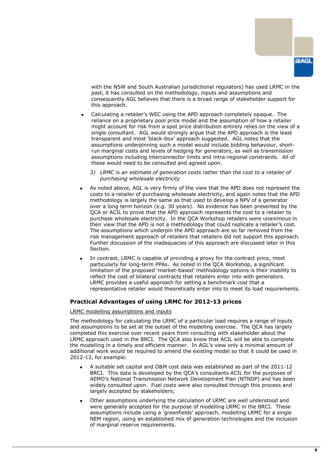

with the NSW and South Australian jurisdictional regulators) has used LRMC in the past, it has consulted on the methodology, inputs and assumptions and consequently AGL believes that there is a broad range of stakeholder support for this approach.

- Calculating a retailer's WEC using the APD approach completely opaque. The reliance on a proprietary pool price model and the assumption of how a retailer might account for risk from a spot price distribution entirely relies on the view of a single consultant. AGL would strongly argue that the APD approach is the least transparent and most 'black-box' approach suggested. AGL notes that the assumptions underpinning such a model would include bidding behaviour, shortrun marginal costs and levels of hedging for generators, as well as transmission assumptions including interconnector limits and intra-regional constraints. All of these would need to be consulted and agreed upon.
	- *3) LRMC is an estimate of generation costs rather than the cost to a retailer of purchasing wholesale electricity*
- As noted above, AGL is very firmly of the view that the APD does not represent the costs to a retailer of purchasing wholesale electricity, and again notes that the APD methodology is largely the same as that used to develop a NPV of a generator over a long term horizon (e.g. 30 years). No evidence has been presented by the QCA or ACIL to prove that the APD approach represents the cost to a retailer to purchase wholesale electricity. In the QCA Workshop retailers were unanimous in their view that the APD is not a methodology that could replicate a retailer's cost. The assumptions which underpin the APD approach are so far removed from the risk management approach of retailers that retailers did not support this approach. Further discussion of the inadequacies of this approach are discussed later in this Section.
- In contrast, LRMC is capable of providing a proxy for the contract price, most particularly for long-term PPAs. As noted in the QCA Workshop, a significant limitation of the proposed 'market-based' methodology options is their inability to reflect the cost of bilateral contracts that retailers enter into with generators. LRMC provides a useful approach for setting a benchmark cost that a representative retailer would theoretically enter into to meet its load requirements.

#### **Practical Advantages of using LRMC for 2012-13 prices**

#### LRMC modelling assumptions and inputs

The methodology for calculating the LRMC of a particular load requires a range of inputs and assumptions to be set at the outset of the modelling exercise. The QCA has largely completed this exercise over recent years from consulting with stakeholder about the LRMC approach used in the BRCI. The QCA also know that ACIL will be able to complete the modelling in a timely and efficient manner. In AGL's view only a minimal amount of additional work would be required to amend the existing model so that it could be used in 2012-13, for example:

- A suitable set capital and O&M cost data was established as part of the 2011-12 BRCI. This data is developed by the QCA's consultants ACIL for the purposes of AEMO's National Transmission Network Development Plan (NTNDP) and has been widely consulted upon. Fuel costs were also consulted through this process and largely accepted by stakeholders;
- Other assumptions underlying the calculation of LRMC are well understood and were generally accepted for the purpose of modelling LRMC in the BRCI. These assumptions include using a 'greenfields' approach, modelling LRMC for a single NEM region, using an established mix of generation technologies and the inclusion of marginal reserve requirements.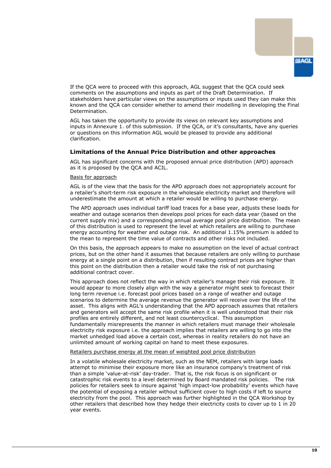

If the QCA were to proceed with this approach, AGL suggest that the QCA could seek comments on the assumptions and inputs as part of the Draft Determination. If stakeholders have particular views on the assumptions or inputs used they can make this known and the QCA can consider whether to amend their modelling in developing the Final Determination.

AGL has taken the opportunity to provide its views on relevant key assumptions and inputs in Annexure 1. of this submission. If the QCA, or it's consultants, have any queries or questions on this information AGL would be pleased to provide any additional clarification.

#### **Limitations of the Annual Price Distribution and other approaches**

AGL has significant concerns with the proposed annual price distribution (APD) approach as it is proposed by the QCA and ACIL.

#### Basis for approach

AGL is of the view that the basis for the APD approach does not appropriately account for a retailer's short-term risk exposure in the wholesale electricity market and therefore will underestimate the amount at which a retailer would be willing to purchase energy.

The APD approach uses individual tariff load traces for a base year, adjusts these loads for weather and outage scenarios then develops pool prices for each data year (based on the current supply mix) and a corresponding annual average pool price distribution. The mean of this distribution is used to represent the level at which retailers are willing to purchase energy accounting for weather and outage risk. An additional 1.15% premium is added to the mean to represent the time value of contracts and other risks not included.

On this basis, the approach appears to make no assumption on the level of actual contract prices, but on the other hand it assumes that because retailers are only willing to purchase energy at a single point on a distribution, then if resulting contract prices are higher than this point on the distribution then a retailer would take the risk of not purchasing additional contract cover.

This approach does not reflect the way in which retailer's manage their risk exposure. It would appear to more closely align with the way a generator might seek to forecast their long term revenue i.e. forecast pool prices based on a range of weather and outage scenarios to determine the average revenue the generator will receive over the life of the asset. This aligns with AGL's understanding that the APD approach assumes that retailers and generators will accept the same risk profile when it is well understood that their risk profiles are entirely different, and not least countercyclical. This assumption fundamentally misrepresents the manner in which retailers must manage their wholesale electricity risk exposure i.e. the approach implies that retailers are willing to go into the market unhedged load above a certain cost, whereas in reality retailers do not have an unlimited amount of working capital on hand to meet these exposures.

#### Retailers purchase energy at the mean of weighted pool price distribution

In a volatile wholesale electricity market, such as the NEM, retailers with large loads attempt to minimise their exposure more like an insurance company's treatment of risk than a simple 'value-at-risk' day-trader. That is, the risk focus is on significant or catastrophic risk events to a level determined by Board mandated risk policies. The risk policies for retailers seek to insure against 'high impact-low probability' events which have the potential of exposing a retailer without sufficient cover to high costs if left to source electricity from the pool. This approach was further highlighted in the QCA Workshop by other retailers that described how they hedge their electricity costs to cover up to 1 in 20 year events.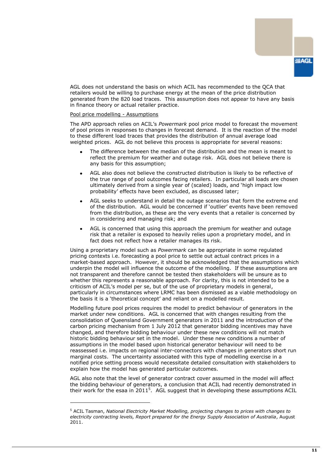

AGL does not understand the basis on which ACIL has recommended to the QCA that retailers would be willing to purchase energy at the mean of the price distribution generated from the 820 load traces. This assumption does not appear to have any basis in finance theory or actual retailer practice.

#### Pool price modelling - Assumptions

-

The APD approach relies on ACIL's *Powermark* pool price model to forecast the movement of pool prices in responses to changes in forecast demand. It is the reaction of the model to these different load traces that provides the distribution of annual average load weighted prices. AGL do not believe this process is appropriate for several reasons:

- The difference between the median of the distribution and the mean is meant to reflect the premium for weather and outage risk. AGL does not believe there is any basis for this assumption;
- AGL also does not believe the constructed distribution is likely to be reflective of the true range of pool outcomes facing retailers. In particular all loads are chosen ultimately derived from a single year of (scaled) loads, and 'high impact low probability' effects have been excluded, as discussed later;
- AGL seeks to understand in detail the outage scenarios that form the extreme end of the distribution. AGL would be concerned if 'outlier' events have been removed from the distribution, as these are the very events that a retailer is concerned by in considering and managing risk; and
- AGL is concerned that using this approach the premium for weather and outage risk that a retailer is exposed to heavily relies upon a proprietary model, and in fact does not reflect how a retailer manages its risk.

Using a proprietary model such as *Powermark* can be appropriate in some regulated pricing contexts i.e. forecasting a pool price to settle out actual contract prices in a market-based approach. However, it should be acknowledged that the assumptions which underpin the model will influence the outcome of the modelling. If these assumptions are not transparent and therefore cannot be tested then stakeholders will be unsure as to whether this represents a reasonable approach. For clarity, this is not intended to be a criticism of ACIL's model per se, but of the use of proprietary models in general, particularly in circumstances where LRMC has been dismissed as a viable methodology on the basis it is a 'theoretical concept' and reliant on a modelled result.

Modelling future pool prices requires the model to predict behaviour of generators in the market under new conditions. AGL is concerned that with changes resulting from the consolidation of Queensland Government generators in 2011 and the introduction of the carbon pricing mechanism from 1 July 2012 that generator bidding incentives may have changed, and therefore bidding behaviour under these new conditions will not match historic bidding behaviour set in the model. Under these new conditions a number of assumptions in the model based upon historical generator behaviour will need to be reassessed i.e. impacts on regional inter-connectors with changes in generators short run marginal costs. The uncertainty associated with this type of modelling exercise in a notified price setting process would necessitate detailed consultation with stakeholders to explain how the model has generated particular outcomes.

AGL also note that the level of generator contract cover assumed in the model will affect the bidding behaviour of generators, a conclusion that ACIL had recently demonstrated in their work for the esaa in 2011<sup>5</sup>. AGL suggest that in developing these assumptions ACIL

<sup>5</sup> ACIL Tasman, *National Electricity Market Modelling, projecting changes to prices with changes to electricity contracting levels, Report prepared for the Energy Supply Association of Australia*, August 2011.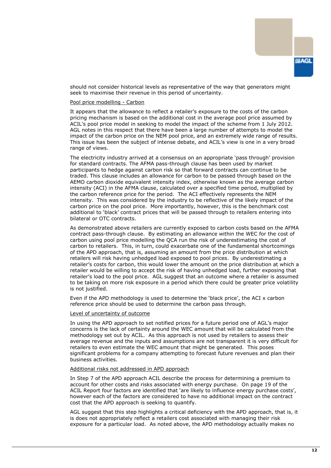should not consider historical levels as representative of the way that generators might seek to maximise their revenue in this period of uncertainty.

#### Pool price modelling - Carbon

It appears that the allowance to reflect a retailer's exposure to the costs of the carbon pricing mechanism is based on the additional cost in the average pool price assumed by ACIL's pool price model in seeking to model the impact of the scheme from 1 July 2012. AGL notes in this respect that there have been a large number of attempts to model the impact of the carbon price on the NEM pool price, and an extremely wide range of results. This issue has been the subject of intense debate, and ACIL's view is one in a very broad range of views.

The electricity industry arrived at a consensus on an appropriate 'pass through' provision for standard contracts. The AFMA pass-through clause has been used by market participants to hedge against carbon risk so that forward contracts can continue to be traded. This clause includes an allowance for carbon to be passed through based on the AEMO carbon dioxide equivalent intensity index, otherwise known as the average carbon intensity (ACI) in the AFMA clause, calculated over a specified time period, multiplied by the carbon reference price for the period. The ACI effectively represents the NEM intensity. This was considered by the industry to be reflective of the likely impact of the carbon price on the pool price. More importantly, however, this is the benchmark cost additional to 'black' contract prices that will be passed through to retailers entering into bilateral or OTC contracts.

As demonstrated above retailers are currently exposed to carbon costs based on the AFMA contract pass-through clause. By estimating an allowance within the WEC for the cost of carbon using pool price modelling the QCA run the risk of underestimating the cost of carbon to retailers. This, in turn, could exacerbate one of the fundamental shortcomings of the APD approach, that is, assuming an amount from the price distribution at which retailers will risk having unhedged load exposed to pool prices. By underestimating a retailer's costs for carbon, this would lower the amount on the price distribution at which a retailer would be willing to accept the risk of having unhedged load, further exposing that retailer's load to the pool price. AGL suggest that an outcome where a retailer is assumed to be taking on more risk exposure in a period which there could be greater price volatility is not justified.

Even if the APD methodology is used to determine the 'black price', the ACI x carbon reference price should be used to determine the carbon pass through.

#### Level of uncertainty of outcome

In using the APD approach to set notified prices for a future period one of AGL's major concerns is the lack of certainty around the WEC amount that will be calculated from the methodology set out by ACIL. As this approach is not used by retailers to assess their average revenue and the inputs and assumptions are not transparent it is very difficult for retailers to even estimate the WEC amount that might be generated. This poses significant problems for a company attempting to forecast future revenues and plan their business activities.

#### Additional risks not addressed in APD approach

In Step 7 of the APD approach ACIL describe the process for determining a premium to account for other costs and risks associated with energy purchase. On page 19 of the ACIL Report four factors are identified that 'are likely to influence energy purchase costs', however each of the factors are considered to have no additional impact on the contract cost that the APD approach is seeking to quantify.

AGL suggest that this step highlights a critical deficiency with the APD approach, that is, it is does not appropriately reflect a retailers cost associated with managing their risk exposure for a particular load. As noted above, the APD methodology actually makes no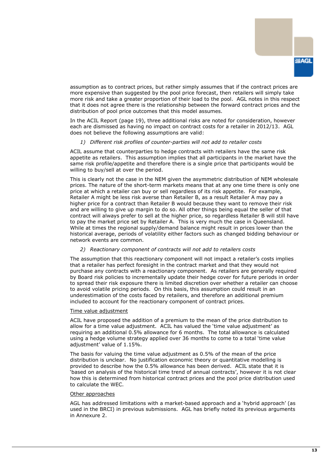

assumption as to contract prices, but rather simply assumes that if the contract prices are more expensive than suggested by the pool price forecast, then retailers will simply take more risk and take a greater proportion of their load to the pool. AGL notes in this respect that it does not agree there is the relationship between the forward contract prices and the distribution of pool price outcomes that this model assumes.

In the ACIL Report (page 19), three additional risks are noted for consideration, however each are dismissed as having no impact on contract costs for a retailer in 2012/13. AGL does not believe the following assumptions are valid:

#### *1) Different risk profiles of counter-parties will not add to retailer costs*

ACIL assume that counterparties to hedge contracts with retailers have the same risk appetite as retailers. This assumption implies that all participants in the market have the same risk profile/appetite and therefore there is a single price that participants would be willing to buy/sell at over the period.

This is clearly not the case in the NEM given the asymmetric distribution of NEM wholesale prices. The nature of the short-term markets means that at any one time there is only one price at which a retailer can buy or sell regardless of its risk appetite. For example, Retailer A might be less risk averse than Retailer B, as a result Retailer A may pay a higher price for a contract than Retailer B would because they want to remove their risk and are willing to give up margin to do so. All other things being equal the seller of that contract will always prefer to sell at the higher price, so regardless Retailer B will still have to pay the market price set by Retailer A. This is very much the case in Queensland. While at times the regional supply/demand balance might result in prices lower than the historical average, periods of volatility either factors such as changed bidding behaviour or network events are common.

#### *2) Reactionary component of contracts will not add to retailers costs*

The assumption that this reactionary component will not impact a retailer's costs implies that a retailer has perfect foresight in the contract market and that they would not purchase any contracts with a reactionary component. As retailers are generally required by Board risk policies to incrementally update their hedge cover for future periods in order to spread their risk exposure there is limited discretion over whether a retailer can choose to avoid volatile pricing periods. On this basis, this assumption could result in an underestimation of the costs faced by retailers, and therefore an additional premium included to account for the reactionary component of contract prices.

#### Time value adjustment

ACIL have proposed the addition of a premium to the mean of the price distribution to allow for a time value adjustment. ACIL has valued the 'time value adjustment' as requiring an additional 0.5% allowance for 6 months. The total allowance is calculated using a hedge volume strategy applied over 36 months to come to a total 'time value adjustment' value of 1.15%.

The basis for valuing the time value adjustment as 0.5% of the mean of the price distribution is unclear. No justification economic theory or quantitative modelling is provided to describe how the 0.5% allowance has been derived. ACIL state that it is 'based on analysis of the historical time trend of annual contracts', however it is not clear how this is determined from historical contract prices and the pool price distribution used to calculate the WEC.

#### Other approaches

AGL has addressed limitations with a market-based approach and a 'hybrid approach' (as used in the BRCI) in previous submissions. AGL has briefly noted its previous arguments in Annexure 2.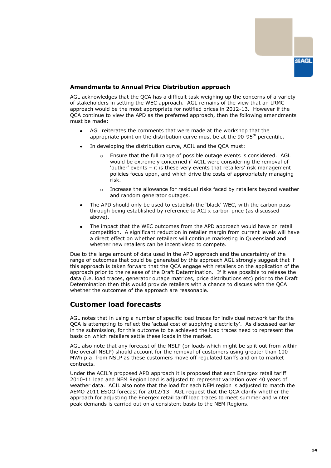

#### **Amendments to Annual Price Distribution approach**

AGL acknowledges that the QCA has a difficult task weighing up the concerns of a variety of stakeholders in setting the WEC approach. AGL remains of the view that an LRMC approach would be the most appropriate for notified prices in 2012-13. However if the QCA continue to view the APD as the preferred approach, then the following amendments must be made:

- AGL reiterates the comments that were made at the workshop that the appropriate point on the distribution curve must be at the  $90-95<sup>th</sup>$  percentile.
- In developing the distribution curve, ACIL and the QCA must:
	- o Ensure that the full range of possible outage events is considered. AGL would be extremely concerned if ACIL were considering the removal of 'outlier' events – it is these very events that retailers' risk management policies focus upon, and which drive the costs of appropriately managing risk.
	- $\circ$  Increase the allowance for residual risks faced by retailers beyond weather and random generator outages.
- The APD should only be used to establish the 'black' WEC, with the carbon pass through being established by reference to ACI x carbon price (as discussed above).
- The impact that the WEC outcomes from the APD approach would have on retail competition. A significant reduction in retailer margin from current levels will have a direct effect on whether retailers will continue marketing in Queensland and whether new retailers can be incentivised to compete.

Due to the large amount of data used in the APD approach and the uncertainty of the range of outcomes that could be generated by this approach AGL strongly suggest that if this approach is taken forward that the QCA engage with retailers on the application of the approach prior to the release of the Draft Determination. If it was possible to release the data (i.e. load traces, generator outage matrices, price distributions etc) prior to the Draft Determination then this would provide retailers with a chance to discuss with the QCA whether the outcomes of the approach are reasonable.

## <span id="page-15-0"></span>**Customer load forecasts**

AGL notes that in using a number of specific load traces for individual network tariffs the QCA is attempting to reflect the 'actual cost of supplying electricity'. As discussed earlier in the submission, for this outcome to be achieved the load traces need to represent the basis on which retailers settle these loads in the market.

AGL also note that any forecast of the NSLP (or loads which might be split out from within the overall NSLP) should account for the removal of customers using greater than 100 MWh p.a. from NSLP as these customers move off regulated tariffs and on to market contracts.

Under the ACIL's proposed APD approach it is proposed that each Energex retail tariff 2010-11 load and NEM Region load is adjusted to represent variation over 40 years of weather data. ACIL also note that the load for each NEM region is adjusted to match the AEMO 2011 ESOO forecast for 2012/13. AGL request that the QCA clarify whether the approach for adjusting the Energex retail tariff load traces to meet summer and winter peak demands is carried out on a consistent basis to the NEM Regions.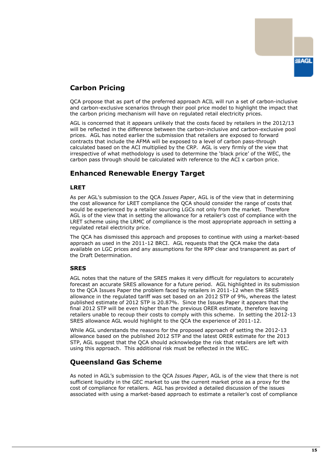

# <span id="page-16-0"></span>**Carbon Pricing**

QCA propose that as part of the preferred approach ACIL will run a set of carbon-inclusive and carbon-exclusive scenarios through their pool price model to highlight the impact that the carbon pricing mechanism will have on regulated retail electricity prices.

AGL is concerned that it appears unlikely that the costs faced by retailers in the 2012/13 will be reflected in the difference between the carbon-inclusive and carbon-exclusive pool prices. AGL has noted earlier the submission that retailers are exposed to forward contracts that include the AFMA will be exposed to a level of carbon pass-through calculated based on the ACI multiplied by the CRP. AGL is very firmly of the view that irrespective of what methodology is used to determine the 'black price' of the WEC, the carbon pass through should be calculated with reference to the ACI x carbon price.

# <span id="page-16-1"></span>**Enhanced Renewable Energy Target**

#### **LRET**

As per AGL's submission to the QCA *Issues Paper*, AGL is of the view that in determining the cost allowance for LRET compliance the QCA should consider the range of costs that would be experienced by a retailer sourcing LGCs not only from the market. Therefore AGL is of the view that in setting the allowance for a retailer's cost of compliance with the LRET scheme using the LRMC of compliance is the most appropriate approach in setting a regulated retail electricity price.

The QCA has dismissed this approach and proposes to continue with using a market-based approach as used in the 2011-12 BRCI. AGL requests that the QCA make the data available on LGC prices and any assumptions for the RPP clear and transparent as part of the Draft Determination.

## **SRES**

AGL notes that the nature of the SRES makes it very difficult for regulators to accurately forecast an accurate SRES allowance for a future period. AGL highlighted in its submission to the QCA Issues Paper the problem faced by retailers in 2011-12 when the SRES allowance in the regulated tariff was set based on an 2012 STP of 9%, whereas the latest published estimate of 2012 STP is 20.87%. Since the Issues Paper it appears that the final 2012 STP will be even higher than the previous ORER estimate, therefore leaving retailers unable to recoup their costs to comply with this scheme. In setting the 2012-13 SRES allowance AGL would highlight to the QCA the experience of 2011-12.

While AGL understands the reasons for the proposed approach of setting the 2012-13 allowance based on the published 2012 STP and the latest ORER estimate for the 2013 STP, AGL suggest that the QCA should acknowledge the risk that retailers are left with using this approach. This additional risk must be reflected in the WEC.

# <span id="page-16-2"></span>**Queensland Gas Scheme**

As noted in AGL's submission to the QCA *Issues Paper*, AGL is of the view that there is not sufficient liquidity in the GEC market to use the current market price as a proxy for the cost of compliance for retailers. AGL has provided a detailed discussion of the issues associated with using a market-based approach to estimate a retailer's cost of compliance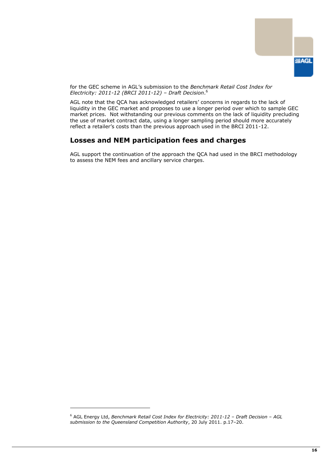

for the GEC scheme in AGL's submission to the *Benchmark Retail Cost Index for Electricity: 2011-12 (BRCI 2011-12) – Draft Decision*. 6

AGL note that the QCA has acknowledged retailers' concerns in regards to the lack of liquidity in the GEC market and proposes to use a longer period over which to sample GEC market prices. Not withstanding our previous comments on the lack of liquidity precluding the use of market contract data, using a longer sampling period should more accurately reflect a retailer's costs than the previous approach used in the BRCI 2011-12.

# <span id="page-17-0"></span>**Losses and NEM participation fees and charges**

AGL support the continuation of the approach the QCA had used in the BRCI methodology to assess the NEM fees and ancillary service charges.

-

<sup>6</sup> AGL Energy Ltd, *Benchmark Retail Cost Index for Electricity: 2011-12 – Draft Decision – AGL submission to the Queensland Competition Authority*, 20 July 2011. p.17–20.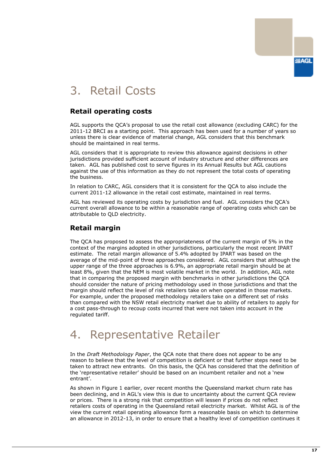# <span id="page-18-0"></span>3. Retail Costs

# <span id="page-18-1"></span>**Retail operating costs**

AGL supports the QCA's proposal to use the retail cost allowance (excluding CARC) for the 2011-12 BRCI as a starting point. This approach has been used for a number of years so unless there is clear evidence of material change, AGL considers that this benchmark should be maintained in real terms.

AGL considers that it is appropriate to review this allowance against decisions in other jurisdictions provided sufficient account of industry structure and other differences are taken. AGL has published cost to serve figures in its Annual Results but AGL cautions against the use of this information as they do not represent the total costs of operating the business.

In relation to CARC, AGL considers that it is consistent for the QCA to also include the current 2011-12 allowance in the retail cost estimate, maintained in real terms.

AGL has reviewed its operating costs by jurisdiction and fuel. AGL considers the QCA's current overall allowance to be within a reasonable range of operating costs which can be attributable to QLD electricity.

# <span id="page-18-2"></span>**Retail margin**

The QCA has proposed to assess the appropriateness of the current margin of 5% in the context of the margins adopted in other jurisdictions, particularly the most recent IPART estimate. The retail margin allowance of 5.4% adopted by IPART was based on the average of the mid-point of three approaches considered. AGL considers that although the upper range of the three approaches is 6.9%, an appropriate retail margin should be at least 8%, given that the NEM is most volatile market in the world. In addition, AGL note that in comparing the proposed margin with benchmarks in other jurisdictions the QCA should consider the nature of pricing methodology used in those jurisdictions and that the margin should reflect the level of risk retailers take on when operated in those markets. For example, under the proposed methodology retailers take on a different set of risks than compared with the NSW retail electricity market due to ability of retailers to apply for a cost pass-through to recoup costs incurred that were not taken into account in the regulated tariff.

# <span id="page-18-3"></span>4. Representative Retailer

In the *Draft Methodology Paper*, the QCA note that there does not appear to be any reason to believe that the level of competition is deficient or that further steps need to be taken to attract new entrants. On this basis, the QCA has considered that the definition of the 'representative retailer' should be based on an incumbent retailer and not a 'new entrant'.

As shown in Figure 1 earlier, over recent months the Queensland market churn rate has been declining, and in AGL's view this is due to uncertainty about the current QCA review or prices. There is a strong risk that competition will lessen if prices do not reflect retailers costs of operating in the Queensland retail electricity market. Whilst AGL is of the view the current retail operating allowance form a reasonable basis on which to determine an allowance in 2012-13, in order to ensure that a healthy level of competition continues it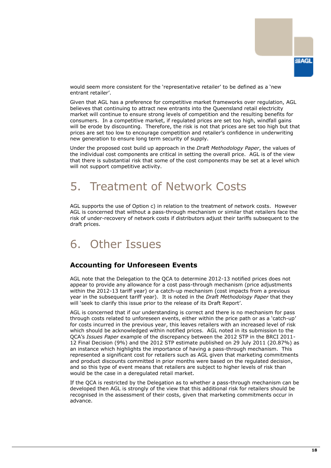

would seem more consistent for the 'representative retailer' to be defined as a 'new entrant retailer'.

Given that AGL has a preference for competitive market frameworks over regulation, AGL believes that continuing to attract new entrants into the Queensland retail electricity market will continue to ensure strong levels of competition and the resulting benefits for consumers. In a competitive market, if regulated prices are set too high, windfall gains will be erode by discounting. Therefore, the risk is not that prices are set too high but that prices are set too low to encourage competition and retailer's confidence in underwriting new generation to ensure long term security of supply.

Under the proposed cost build up approach in the *Draft Methodology Paper*, the values of the individual cost components are critical in setting the overall price. AGL is of the view that there is substantial risk that some of the cost components may be set at a level which will not support competitive activity.

# <span id="page-19-0"></span>5. Treatment of Network Costs

AGL supports the use of Option c) in relation to the treatment of network costs. However AGL is concerned that without a pass-through mechanism or similar that retailers face the risk of under-recovery of network costs if distributors adjust their tariffs subsequent to the draft prices.

# <span id="page-19-1"></span>6. Other Issues

## <span id="page-19-2"></span>**Accounting for Unforeseen Events**

AGL note that the Delegation to the QCA to determine 2012-13 notified prices does not appear to provide any allowance for a cost pass-through mechanism (price adjustments within the 2012-13 tariff year) or a catch-up mechanism (cost impacts from a previous year in the subsequent tariff year). It is noted in the *Draft Methodology Paper* that they will 'seek to clarify this issue prior to the release of its Draft Report'.

AGL is concerned that if our understanding is correct and there is no mechanism for pass through costs related to unforeseen events, either within the price path or as a 'catch-up' for costs incurred in the previous year, this leaves retailers with an increased level of risk which should be acknowledged within notified prices. AGL noted in its submission to the QCA's *Issues Paper* example of the discrepancy between the 2012 STP in the BRCI 2011- 12 Final Decision (9%) and the 2012 STP estimate published on 29 July 2011 (20.87%) as an instance which highlights the importance of having a pass-through mechanism. This represented a significant cost for retailers such as AGL given that marketing commitments and product discounts committed in prior months were based on the regulated decision, and so this type of event means that retailers are subject to higher levels of risk than would be the case in a deregulated retail market.

If the QCA is restricted by the Delegation as to whether a pass-through mechanism can be developed then AGL is strongly of the view that this additional risk for retailers should be recognised in the assessment of their costs, given that marketing commitments occur in advance.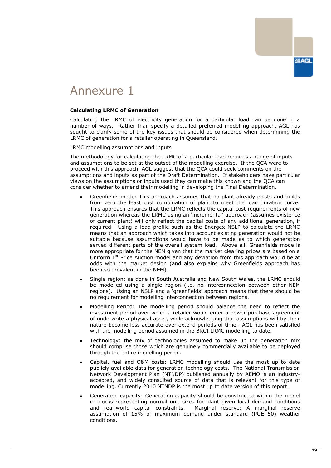

# <span id="page-20-0"></span>Annexure 1

#### **Calculating LRMC of Generation**

Calculating the LRMC of electricity generation for a particular load can be done in a number of ways. Rather than specify a detailed preferred modelling approach, AGL has sought to clarify some of the key issues that should be considered when determining the LRMC of generation for a retailer operating in Queensland.

LRMC modelling assumptions and inputs

The methodology for calculating the LRMC of a particular load requires a range of inputs and assumptions to be set at the outset of the modelling exercise. If the QCA were to proceed with this approach, AGL suggest that the QCA could seek comments on the assumptions and inputs as part of the Draft Determination. If stakeholders have particular views on the assumptions or inputs used they can make this known and the QCA can consider whether to amend their modelling in developing the Final Determination.

- Greenfields mode: This approach assumes that no plant already exists and builds from zero the least cost combination of plant to meet the load duration curve. This approach ensures that the LRMC reflects the capital cost requirements of new generation whereas the LRMC using an 'incremental' approach (assumes existence of current plant) will only reflect the capital costs of any additional generation, if required. Using a load profile such as the Energex NSLP to calculate the LRMC means that an approach which takes into account existing generation would not be suitable because assumptions would have to be made as to which generation served different parts of the overall system load. Above all, Greenfields mode is more appropriate for the NEM given that the market clearing prices are based on a Uniform  $1<sup>st</sup>$  Price Auction model and any deviation from this approach would be at odds with the market design (and also explains why Greenfields approach has been so prevalent in the NEM).
- Single region: as done in South Australia and New South Wales, the LRMC should be modelled using a single region (i.e. no interconnection between other NEM regions). Using an NSLP and a 'greenfields' approach means that there should be no requirement for modelling interconnection between regions.
- Modelling Period: The modelling period should balance the need to reflect the investment period over which a retailer would enter a power purchase agreement of underwrite a physical asset, while acknowledging that assumptions will by their nature become less accurate over extend periods of time. AGL has been satisfied with the modelling period assumed in the BRCI LRMC modelling to date.
- Technology: the mix of technologies assumed to make up the generation mix should comprise those which are genuinely commercially available to be deployed through the entire modelling period.
- Capital, fuel and O&M costs: LRMC modelling should use the most up to date publicly available data for generation technology costs. The National Transmission Network Development Plan (NTNDP) published annually by AEMO is an industryaccepted, and widely consulted source of data that is relevant for this type of modelling. Currently 2010 NTNDP is the most up to date version of this report.
- Generation capacity: Generation capacity should be constructed within the model in blocks representing normal unit sizes for plant given local demand conditions and real-world capital constraints. Marginal reserve: A marginal reserve assumption of 15% of maximum demand under standard (POE 50) weather conditions.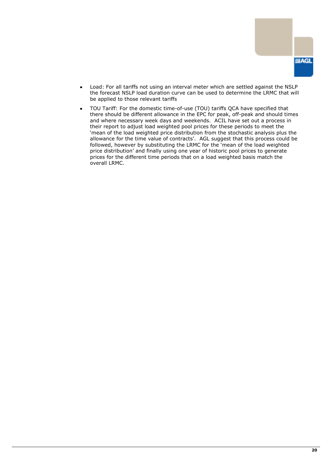

- Load: For all tariffs not using an interval meter which are settled against the NSLP the forecast NSLP load duration curve can be used to determine the LRMC that will be applied to those relevant tariffs
- TOU Tariff: For the domestic time-of-use (TOU) tariffs QCA have specified that there should be different allowance in the EPC for peak, off-peak and should times and where necessary week days and weekends. ACIL have set out a process in their report to adjust load weighted pool prices for these periods to meet the 'mean of the load weighted price distribution from the stochastic analysis plus the allowance for the time value of contracts'. AGL suggest that this process could be followed, however by substituting the LRMC for the 'mean of the load weighted price distribution' and finally using one year of historic pool prices to generate prices for the different time periods that on a load weighted basis match the overall LRMC.